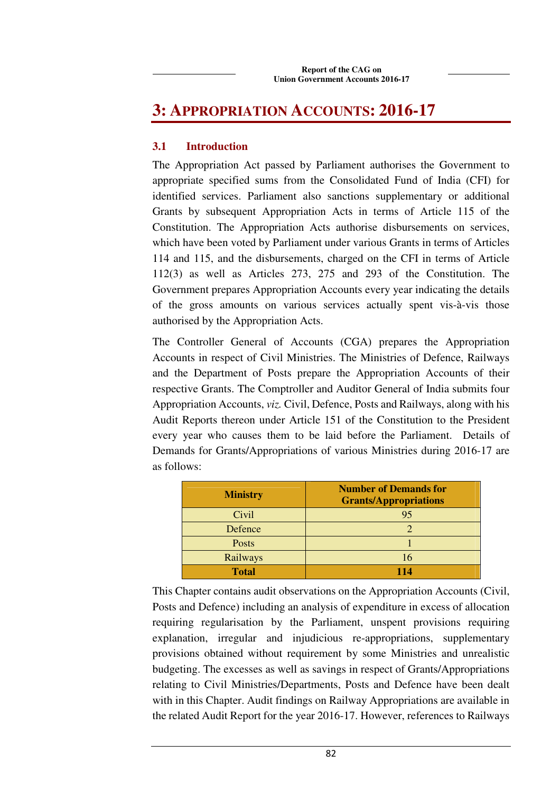# **3: APPROPRIATION ACCOUNTS: 2016-17**

# **3.1 Introduction**

The Appropriation Act passed by Parliament authorises the Government to appropriate specified sums from the Consolidated Fund of India (CFI) for identified services. Parliament also sanctions supplementary or additional Grants by subsequent Appropriation Acts in terms of Article 115 of the Constitution. The Appropriation Acts authorise disbursements on services, which have been voted by Parliament under various Grants in terms of Articles 114 and 115, and the disbursements, charged on the CFI in terms of Article 112(3) as well as Articles 273, 275 and 293 of the Constitution. The Government prepares Appropriation Accounts every year indicating the details of the gross amounts on various services actually spent vis-à-vis those authorised by the Appropriation Acts.

The Controller General of Accounts (CGA) prepares the Appropriation Accounts in respect of Civil Ministries. The Ministries of Defence, Railways and the Department of Posts prepare the Appropriation Accounts of their respective Grants. The Comptroller and Auditor General of India submits four Appropriation Accounts, *viz.* Civil, Defence, Posts and Railways, along with his Audit Reports thereon under Article 151 of the Constitution to the President every year who causes them to be laid before the Parliament. Details of Demands for Grants/Appropriations of various Ministries during 2016-17 are as follows:

| <b>Ministry</b> | <b>Number of Demands for</b><br><b>Grants/Appropriations</b> |
|-----------------|--------------------------------------------------------------|
| Civil           | 95                                                           |
| Defence         |                                                              |
| Posts           |                                                              |
| Railways        | 16                                                           |
| <b>Total</b>    |                                                              |

This Chapter contains audit observations on the Appropriation Accounts (Civil, Posts and Defence) including an analysis of expenditure in excess of allocation requiring regularisation by the Parliament, unspent provisions requiring explanation, irregular and injudicious re-appropriations, supplementary provisions obtained without requirement by some Ministries and unrealistic budgeting. The excesses as well as savings in respect of Grants/Appropriations relating to Civil Ministries/Departments, Posts and Defence have been dealt with in this Chapter. Audit findings on Railway Appropriations are available in the related Audit Report for the year 2016-17. However, references to Railways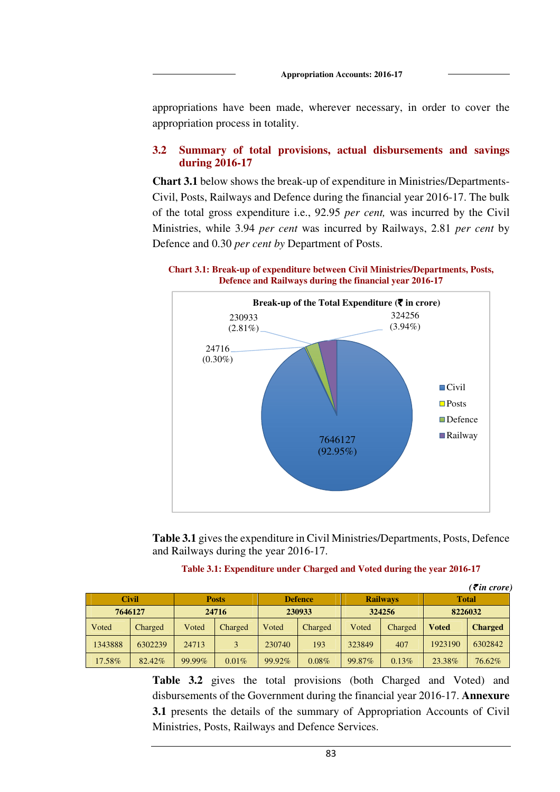appropriations have been made, wherever necessary, in order to cover the appropriation process in totality.

### **3.2 Summary of total provisions, actual disbursements and savings during 2016-17**

**Chart 3.1** below shows the break-up of expenditure in Ministries/Departments-Civil, Posts, Railways and Defence during the financial year 2016-17. The bulk of the total gross expenditure i.e., 92.95 *per cent,* was incurred by the Civil Ministries, while 3.94 *per cent* was incurred by Railways, 2.81 *per cent* by Defence and 0.30 *per cent by* Department of Posts.

**Chart 3.1: Break-up of expenditure between Civil Ministries/Departments, Posts, Defence and Railways during the financial year 2016-17** 



**Table 3.1** gives the expenditure in Civil Ministries/Departments, Posts, Defence and Railways during the year 2016-17.

### **Table 3.1: Expenditure under Charged and Voted during the year 2016-17**

|              |         |           |                                |        |                 |        |              |         | (₹in crore)    |         |  |
|--------------|---------|-----------|--------------------------------|--------|-----------------|--------|--------------|---------|----------------|---------|--|
| <b>Civil</b> |         |           | <b>Defence</b><br><b>Posts</b> |        | <b>Railways</b> |        | <b>Total</b> |         |                |         |  |
| 7646127      |         |           | 24716                          | 230933 |                 |        |              |         | 324256         | 8226032 |  |
| <b>Voted</b> | Charged | Voted     | Charged                        | Voted  | Charged         | Voted  | Charged      | Voted   | <b>Charged</b> |         |  |
| 1343888      | 6302239 | 24713     | 3                              | 230740 | 193             | 323849 | 407          | 1923190 | 6302842        |         |  |
| 17.58%       | 82.42%  | $99.99\%$ | 0.01%                          | 99.92% | $0.08\%$        | 99.87% | $0.13\%$     | 23.38%  | 76.62%         |         |  |

**Table 3.2** gives the total provisions (both Charged and Voted) and disbursements of the Government during the financial year 2016-17. **Annexure 3.1** presents the details of the summary of Appropriation Accounts of Civil Ministries, Posts, Railways and Defence Services.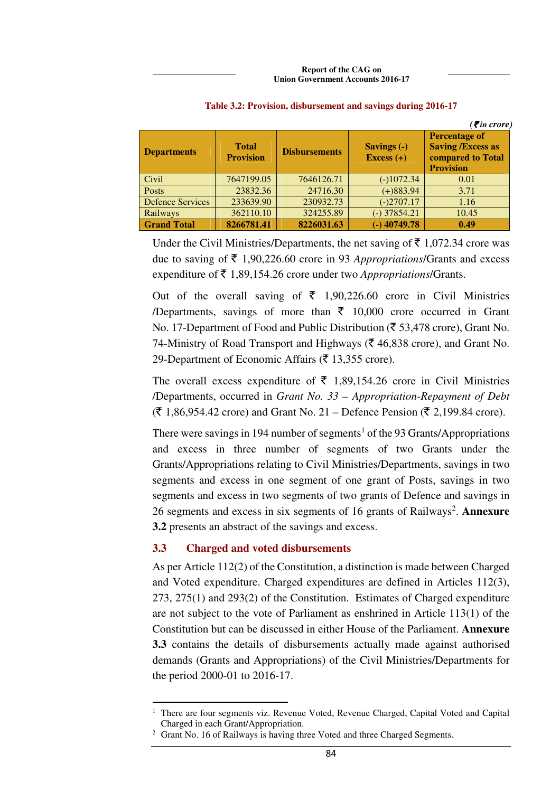|                         |                                  |                      |                             | $( \bar{\mathbf{z}}$ in crore)                                                            |
|-------------------------|----------------------------------|----------------------|-----------------------------|-------------------------------------------------------------------------------------------|
| <b>Departments</b>      | <b>Total</b><br><b>Provision</b> | <b>Disbursements</b> | Savings (-)<br>Excess $(+)$ | <b>Percentage of</b><br><b>Saving /Excess as</b><br>compared to Total<br><b>Provision</b> |
| Civil                   | 7647199.05                       | 7646126.71           | $(-)1072.34$                | 0.01                                                                                      |
| Posts                   | 23832.36                         | 24716.30             | $(+)883.94$                 | 3.71                                                                                      |
| <b>Defence Services</b> | 233639.90                        | 230932.73            | $(-)2707.17$                | 1.16                                                                                      |
| Railways                | 362110.10                        | 324255.89            | $(-)$ 37854.21              | 10.45                                                                                     |
| <b>Grand Total</b>      | 8266781.41                       | 8226031.63           | $(-)$ 40749.78              | 0.49                                                                                      |

### **Table 3.2: Provision, disbursement and savings during 2016-17**

Under the Civil Ministries/Departments, the net saving of  $\bar{\tau}$  1,072.34 crore was due to saving of  $\bar{\tau}$  1,90,226.60 crore in 93 *Appropriations*/Grants and excess expenditure of ₹1,89,154.26 crore under two *Appropriations*/Grants.

Out of the overall saving of  $\bar{\tau}$  1,90,226.60 crore in Civil Ministries /Departments, savings of more than  $\bar{\tau}$  10,000 crore occurred in Grant No. 17-Department of Food and Public Distribution ( $\bar{\epsilon}$  53,478 crore), Grant No. 74-Ministry of Road Transport and Highways ( $\bar{\tau}$  46,838 crore), and Grant No. 29-Department of Economic Affairs ( $\bar{z}$  13,355 crore).

The overall excess expenditure of  $\bar{\tau}$  1,89,154.26 crore in Civil Ministries /Departments, occurred in *Grant No. 33 – Appropriation-Repayment of Debt*  $({\bar$ 8} \ 1,86,954.42 \text{ core}) and Grant No. 21 – Defence Pension ( ${\bar$  2,199.84 crore).

There were savings in 194 number of segments<sup>1</sup> of the 93 Grants/Appropriations and excess in three number of segments of two Grants under the Grants/Appropriations relating to Civil Ministries/Departments, savings in two segments and excess in one segment of one grant of Posts, savings in two segments and excess in two segments of two grants of Defence and savings in 26 segments and excess in six segments of 16 grants of Railways<sup>2</sup>. Annexure **3.2** presents an abstract of the savings and excess.

### **3.3 Charged and voted disbursements**

 $\overline{a}$ 

As per Article 112(2) of the Constitution, a distinction is made between Charged and Voted expenditure. Charged expenditures are defined in Articles 112(3), 273, 275(1) and 293(2) of the Constitution. Estimates of Charged expenditure are not subject to the vote of Parliament as enshrined in Article 113(1) of the Constitution but can be discussed in either House of the Parliament. **Annexure 3.3** contains the details of disbursements actually made against authorised demands (Grants and Appropriations) of the Civil Ministries/Departments for the period 2000-01 to 2016-17.

<sup>&</sup>lt;sup>1</sup> There are four segments viz. Revenue Voted, Revenue Charged, Capital Voted and Capital Charged in each Grant/Appropriation.

<sup>&</sup>lt;sup>2</sup> Grant No. 16 of Railways is having three Voted and three Charged Segments.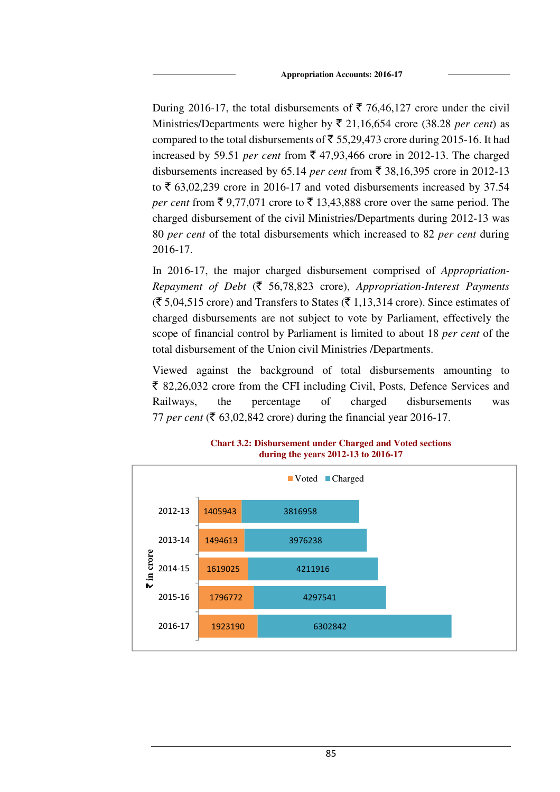During 2016-17, the total disbursements of  $\bar{\tau}$  76,46,127 crore under the civil Ministries/Departments were higher by  $\bar{\xi}$  21,16,654 crore (38.28 *per cent*) as compared to the total disbursements of  $\bar{\tau}$  55,29,473 crore during 2015-16. It had increased by 59.51 *per cent* from  $\bar{\xi}$  47,93,466 crore in 2012-13. The charged disbursements increased by 65.14 *per cent* from  $\bar{\xi}$  38,16,395 crore in 2012-13 to  $\bar{\xi}$  63,02,239 crore in 2016-17 and voted disbursements increased by 37.54 *per cent* from  $\bar{\xi}$  9,77,071 crore to  $\bar{\xi}$  13,43,888 crore over the same period. The charged disbursement of the civil Ministries/Departments during 2012-13 was 80 *per cent* of the total disbursements which increased to 82 *per cent* during 2016-17.

In 2016-17, the major charged disbursement comprised of *Appropriation-Repayment of Debt* (` 56,78,823 crore), *Appropriation-Interest Payments*   $(\overline{\mathfrak{F}} 5,04,515$  crore) and Transfers to States  $(\overline{\mathfrak{F}} 1,13,314$  crore). Since estimates of charged disbursements are not subject to vote by Parliament, effectively the scope of financial control by Parliament is limited to about 18 *per cent* of the total disbursement of the Union civil Ministries /Departments.

Viewed against the background of total disbursements amounting to  $\bar{\xi}$  82,26,032 crore from the CFI including Civil, Posts, Defence Services and Railways, the percentage of charged disbursements was 77 *per cent* ( $\overline{\xi}$  63,02,842 crore) during the financial year 2016-17.



**Chart 3.2: Disbursement under Charged and Voted sections during the years 2012-13 to 2016-17**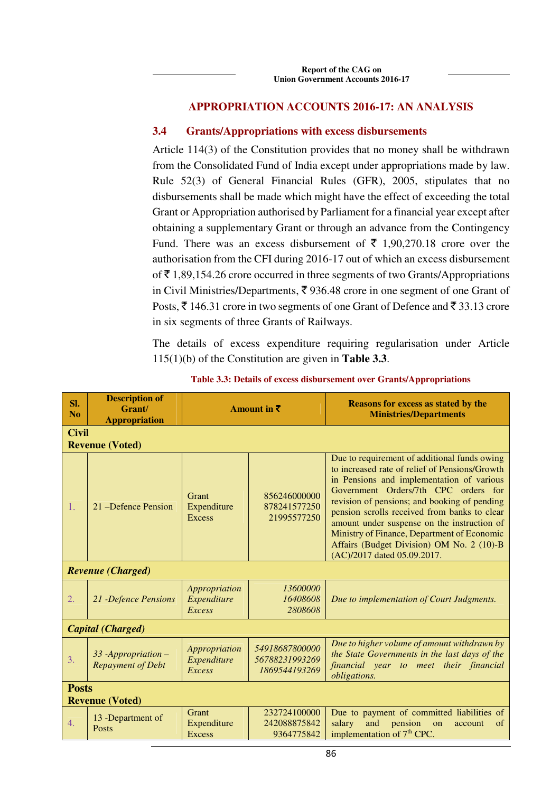### **APPROPRIATION ACCOUNTS 2016-17: AN ANALYSIS**

### **3.4 Grants/Appropriations with excess disbursements**

Article 114(3) of the Constitution provides that no money shall be withdrawn from the Consolidated Fund of India except under appropriations made by law. Rule 52(3) of General Financial Rules (GFR), 2005, stipulates that no disbursements shall be made which might have the effect of exceeding the total Grant or Appropriation authorised by Parliament for a financial year except after obtaining a supplementary Grant or through an advance from the Contingency Fund. There was an excess disbursement of  $\bar{\tau}$  1,90,270.18 crore over the authorisation from the CFI during 2016-17 out of which an excess disbursement of  $\bar{\tau}$  1,89,154.26 crore occurred in three segments of two Grants/Appropriations in Civil Ministries/Departments,  $\bar{\xi}$  936.48 crore in one segment of one Grant of Posts,  $\bar{\xi}$  146.31 crore in two segments of one Grant of Defence and  $\bar{\xi}$  33.13 crore in six segments of three Grants of Railways.

The details of excess expenditure requiring regularisation under Article 115(1)(b) of the Constitution are given in **Table 3.3**.

| SI.<br>No | <b>Description of</b><br>Grant/<br><b>Appropriation</b> | Amount in $\bar{\tau}$                        |                                                   | <b>Reasons for excess as stated by the</b><br><b>Ministries/Departments</b>                                                                                                                                                                                                                                                                                                                                                                                   |  |  |  |
|-----------|---------------------------------------------------------|-----------------------------------------------|---------------------------------------------------|---------------------------------------------------------------------------------------------------------------------------------------------------------------------------------------------------------------------------------------------------------------------------------------------------------------------------------------------------------------------------------------------------------------------------------------------------------------|--|--|--|
|           | <b>Civil</b><br><b>Revenue (Voted)</b>                  |                                               |                                                   |                                                                                                                                                                                                                                                                                                                                                                                                                                                               |  |  |  |
| 1.        | 21 – Defence Pension                                    | Grant<br>Expenditure<br><b>Excess</b>         | 856246000000<br>878241577250<br>21995577250       | Due to requirement of additional funds owing<br>to increased rate of relief of Pensions/Growth<br>in Pensions and implementation of various<br>Government Orders/7th CPC orders for<br>revision of pensions; and booking of pending<br>pension scrolls received from banks to clear<br>amount under suspense on the instruction of<br>Ministry of Finance, Department of Economic<br>Affairs (Budget Division) OM No. 2 (10)-B<br>(AC)/2017 dated 05.09.2017. |  |  |  |
|           | <b>Revenue (Charged)</b>                                |                                               |                                                   |                                                                                                                                                                                                                                                                                                                                                                                                                                                               |  |  |  |
| 2.        | 21 - Defence Pensions                                   | Appropriation<br>Expenditure<br><b>Excess</b> | 13600000<br>16408608<br>2808608                   | Due to implementation of Court Judgments.                                                                                                                                                                                                                                                                                                                                                                                                                     |  |  |  |
|           | <b>Capital</b> (Charged)                                |                                               |                                                   |                                                                                                                                                                                                                                                                                                                                                                                                                                                               |  |  |  |
| 3.        | 33 - Appropriation -<br><b>Repayment of Debt</b>        | Appropriation<br>Expenditure<br>Excess        | 54918687800000<br>56788231993269<br>1869544193269 | Due to higher volume of amount withdrawn by<br>the State Governments in the last days of the<br>financial year to meet their financial<br>obligations.                                                                                                                                                                                                                                                                                                        |  |  |  |
|           | <b>Posts</b><br><b>Revenue (Voted)</b>                  |                                               |                                                   |                                                                                                                                                                                                                                                                                                                                                                                                                                                               |  |  |  |
| 4.        | 13 -Department of<br><b>Posts</b>                       | Grant<br>Expenditure<br><b>Excess</b>         | 232724100000<br>242088875842<br>9364775842        | Due to payment of committed liabilities of<br>salary<br>and<br>pension<br>of<br>on<br>account<br>implementation of 7 <sup>th</sup> CPC.                                                                                                                                                                                                                                                                                                                       |  |  |  |

**Table 3.3: Details of excess disbursement over Grants/Appropriations**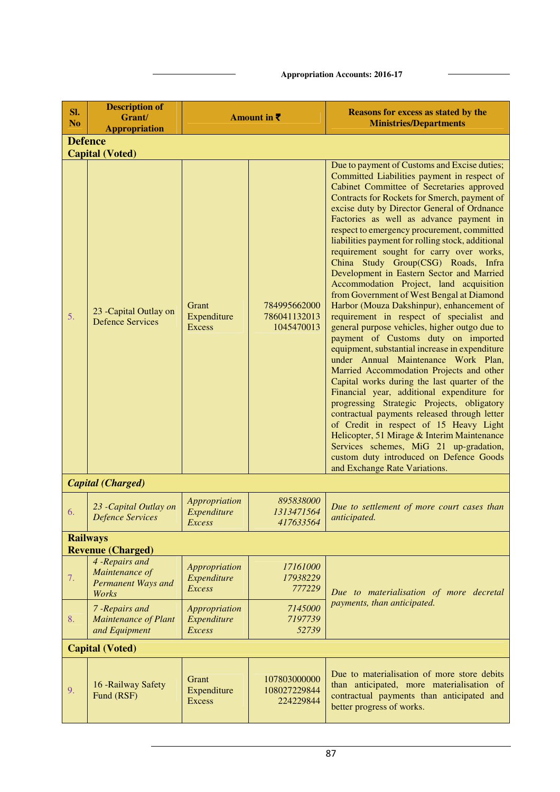| SI.<br>N <sub>o</sub> | <b>Description of</b><br>Grant/                                             | Amount in $\bar{\tau}$                               |                                            | <b>Reasons for excess as stated by the</b><br><b>Ministries/Departments</b>                                                                                                                                                                                                                                                                                                                                                                                                                                                                                                                                                                                                                                                                                                                                                                                                                                                                                                                                                                                                                                                                                                                                                                                                                                                                     |  |  |  |
|-----------------------|-----------------------------------------------------------------------------|------------------------------------------------------|--------------------------------------------|-------------------------------------------------------------------------------------------------------------------------------------------------------------------------------------------------------------------------------------------------------------------------------------------------------------------------------------------------------------------------------------------------------------------------------------------------------------------------------------------------------------------------------------------------------------------------------------------------------------------------------------------------------------------------------------------------------------------------------------------------------------------------------------------------------------------------------------------------------------------------------------------------------------------------------------------------------------------------------------------------------------------------------------------------------------------------------------------------------------------------------------------------------------------------------------------------------------------------------------------------------------------------------------------------------------------------------------------------|--|--|--|
|                       | <b>Appropriation</b>                                                        |                                                      |                                            |                                                                                                                                                                                                                                                                                                                                                                                                                                                                                                                                                                                                                                                                                                                                                                                                                                                                                                                                                                                                                                                                                                                                                                                                                                                                                                                                                 |  |  |  |
| <b>Defence</b>        |                                                                             |                                                      |                                            |                                                                                                                                                                                                                                                                                                                                                                                                                                                                                                                                                                                                                                                                                                                                                                                                                                                                                                                                                                                                                                                                                                                                                                                                                                                                                                                                                 |  |  |  |
| 5.                    | <b>Capital (Voted)</b><br>23 - Capital Outlay on<br><b>Defence Services</b> | Grant<br>Expenditure<br><b>Excess</b>                | 784995662000<br>786041132013<br>1045470013 | Due to payment of Customs and Excise duties;<br>Committed Liabilities payment in respect of<br>Cabinet Committee of Secretaries approved<br>Contracts for Rockets for Smerch, payment of<br>excise duty by Director General of Ordnance<br>Factories as well as advance payment in<br>respect to emergency procurement, committed<br>liabilities payment for rolling stock, additional<br>requirement sought for carry over works,<br>China Study Group(CSG) Roads, Infra<br>Development in Eastern Sector and Married<br>Accommodation Project, land acquisition<br>from Government of West Bengal at Diamond<br>Harbor (Mouza Dakshinpur), enhancement of<br>requirement in respect of specialist and<br>general purpose vehicles, higher outgo due to<br>payment of Customs duty on imported<br>equipment, substantial increase in expenditure<br>under Annual Maintenance Work Plan,<br>Married Accommodation Projects and other<br>Capital works during the last quarter of the<br>Financial year, additional expenditure for<br>progressing Strategic Projects, obligatory<br>contractual payments released through letter<br>of Credit in respect of 15 Heavy Light<br>Helicopter, 51 Mirage & Interim Maintenance<br>Services schemes, MiG 21 up-gradation,<br>custom duty introduced on Defence Goods<br>and Exchange Rate Variations. |  |  |  |
|                       | <b>Capital</b> (Charged)                                                    |                                                      |                                            |                                                                                                                                                                                                                                                                                                                                                                                                                                                                                                                                                                                                                                                                                                                                                                                                                                                                                                                                                                                                                                                                                                                                                                                                                                                                                                                                                 |  |  |  |
| 6.                    | 23 - Capital Outlay on<br><b>Defence Services</b>                           | Appropriation<br>Expenditure<br>Excess               | 895838000<br>1313471564<br>417633564       | Due to settlement of more court cases than<br>anticipated.                                                                                                                                                                                                                                                                                                                                                                                                                                                                                                                                                                                                                                                                                                                                                                                                                                                                                                                                                                                                                                                                                                                                                                                                                                                                                      |  |  |  |
|                       | <b>Railways</b>                                                             |                                                      |                                            |                                                                                                                                                                                                                                                                                                                                                                                                                                                                                                                                                                                                                                                                                                                                                                                                                                                                                                                                                                                                                                                                                                                                                                                                                                                                                                                                                 |  |  |  |
|                       | <b>Revenue (Charged)</b><br>4 - Repairs and                                 |                                                      |                                            |                                                                                                                                                                                                                                                                                                                                                                                                                                                                                                                                                                                                                                                                                                                                                                                                                                                                                                                                                                                                                                                                                                                                                                                                                                                                                                                                                 |  |  |  |
| 7.                    | Maintenance of<br>Permanent Ways and<br>Works                               | Appropriation<br>Expenditure<br><b>Excess</b>        | 17161000<br>17938229<br>777229             | Due to materialisation of more decretal                                                                                                                                                                                                                                                                                                                                                                                                                                                                                                                                                                                                                                                                                                                                                                                                                                                                                                                                                                                                                                                                                                                                                                                                                                                                                                         |  |  |  |
| 8.                    | 7 - Repairs and<br><b>Maintenance of Plant</b><br>and Equipment             | <b>Appropriation</b><br>Expenditure<br><b>Excess</b> | 7145000<br>7197739<br>52739                | payments, than anticipated.                                                                                                                                                                                                                                                                                                                                                                                                                                                                                                                                                                                                                                                                                                                                                                                                                                                                                                                                                                                                                                                                                                                                                                                                                                                                                                                     |  |  |  |
|                       | <b>Capital (Voted)</b>                                                      |                                                      |                                            |                                                                                                                                                                                                                                                                                                                                                                                                                                                                                                                                                                                                                                                                                                                                                                                                                                                                                                                                                                                                                                                                                                                                                                                                                                                                                                                                                 |  |  |  |
| 9.                    | 16 - Railway Safety<br>Fund (RSF)                                           | Grant<br>Expenditure<br><b>Excess</b>                | 107803000000<br>108027229844<br>224229844  | Due to materialisation of more store debits<br>than anticipated, more materialisation of<br>contractual payments than anticipated and<br>better progress of works.                                                                                                                                                                                                                                                                                                                                                                                                                                                                                                                                                                                                                                                                                                                                                                                                                                                                                                                                                                                                                                                                                                                                                                              |  |  |  |

**Appropriation Accounts: 2016-17**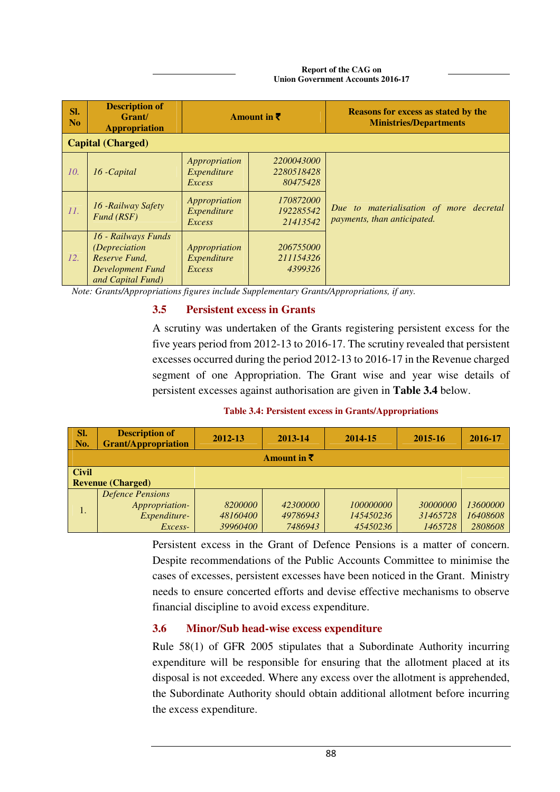#### **Report of the CAG on Union Government Accounts 2016-17**

| SI.<br>N <sub>0</sub> | <b>Description of</b><br>Grant/<br><b>Appropriation</b>                                                 | Amount in $\bar{z}$                    |                                      | <b>Reasons for excess as stated by the</b><br><b>Ministries/Departments</b> |
|-----------------------|---------------------------------------------------------------------------------------------------------|----------------------------------------|--------------------------------------|-----------------------------------------------------------------------------|
|                       | <b>Capital (Charged)</b>                                                                                |                                        |                                      |                                                                             |
| 10.                   | 16 - Capital                                                                                            | Appropriation<br>Expenditure<br>Excess | 2200043000<br>2280518428<br>80475428 |                                                                             |
| II.                   | 16 - Railway Safety<br>Fund (RSF)                                                                       | Appropriation<br>Expenditure<br>Excess | 170872000<br>192285542<br>21413542   | Due to materialisation of more decretal<br>payments, than anticipated.      |
| 12.                   | 16 - Railways Funds<br><i>(Depreciation</i> )<br>Reserve Fund,<br>Development Fund<br>and Capital Fund) | Appropriation<br>Expenditure<br>Excess | 206755000<br>211154326<br>4399326    |                                                                             |

*Note: Grants/Appropriations figures include Supplementary Grants/Appropriations, if any.* 

### **3.5 Persistent excess in Grants**

A scrutiny was undertaken of the Grants registering persistent excess for the five years period from 2012-13 to 2016-17. The scrutiny revealed that persistent excesses occurred during the period 2012-13 to 2016-17 in the Revenue charged segment of one Appropriation. The Grant wise and year wise details of persistent excesses against authorisation are given in **Table 3.4** below.

**Table 3.4: Persistent excess in Grants/Appropriations** 

| SI.<br>No.             | <b>Description of</b><br><b>Grant/Appropriation</b> | 2012-13  | 2013-14  | 2014-15          | 2015-16  | 2016-17  |  |  |
|------------------------|-----------------------------------------------------|----------|----------|------------------|----------|----------|--|--|
| Amount in $\bar{\tau}$ |                                                     |          |          |                  |          |          |  |  |
| <b>Civil</b>           |                                                     |          |          |                  |          |          |  |  |
|                        | <b>Revenue (Charged)</b>                            |          |          |                  |          |          |  |  |
|                        | <b>Defence Pensions</b>                             |          |          |                  |          |          |  |  |
|                        | Appropriation-                                      | 8200000  | 42300000 | <i>100000000</i> | 30000000 | 13600000 |  |  |
| 1.                     | Expenditure-                                        | 48160400 | 49786943 | 145450236        | 31465728 | 16408608 |  |  |
|                        | Excess-                                             | 39960400 | 7486943  | 45450236         | 1465728  | 2808608  |  |  |

Persistent excess in the Grant of Defence Pensions is a matter of concern. Despite recommendations of the Public Accounts Committee to minimise the cases of excesses, persistent excesses have been noticed in the Grant. Ministry needs to ensure concerted efforts and devise effective mechanisms to observe financial discipline to avoid excess expenditure.

# **3.6 Minor/Sub head-wise excess expenditure**

Rule 58(1) of GFR 2005 stipulates that a Subordinate Authority incurring expenditure will be responsible for ensuring that the allotment placed at its disposal is not exceeded. Where any excess over the allotment is apprehended, the Subordinate Authority should obtain additional allotment before incurring the excess expenditure.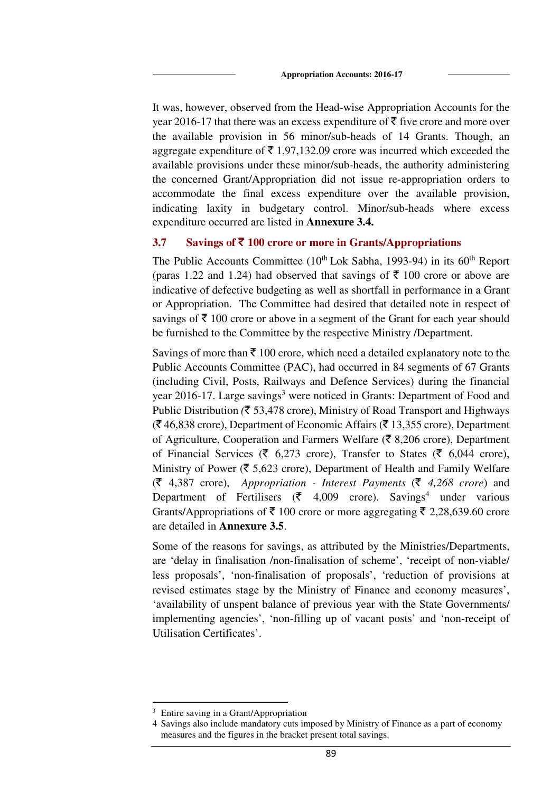It was, however, observed from the Head-wise Appropriation Accounts for the year 2016-17 that there was an excess expenditure of  $\bar{\tau}$  five crore and more over the available provision in 56 minor/sub-heads of 14 Grants. Though, an aggregate expenditure of  $\bar{\tau}$  1,97,132.09 crore was incurred which exceeded the available provisions under these minor/sub-heads, the authority administering the concerned Grant/Appropriation did not issue re-appropriation orders to accommodate the final excess expenditure over the available provision, indicating laxity in budgetary control. Minor/sub-heads where excess expenditure occurred are listed in **Annexure 3.4.** 

### **3.7 Savings of** ` **100 crore or more in Grants/Appropriations**

The Public Accounts Committee  $(10^{th}$  Lok Sabha, 1993-94) in its  $60^{th}$  Report (paras 1.22 and 1.24) had observed that savings of  $\bar{\tau}$  100 crore or above are indicative of defective budgeting as well as shortfall in performance in a Grant or Appropriation. The Committee had desired that detailed note in respect of savings of  $\bar{\tau}$  100 crore or above in a segment of the Grant for each year should be furnished to the Committee by the respective Ministry /Department.

Savings of more than  $\bar{\xi}$  100 crore, which need a detailed explanatory note to the Public Accounts Committee (PAC), had occurred in 84 segments of 67 Grants (including Civil, Posts, Railways and Defence Services) during the financial year 2016-17. Large savings<sup>3</sup> were noticed in Grants: Department of Food and Public Distribution *(*` 53,478 crore), Ministry of Road Transport and Highways  $({}^{\mathsf{F}}$  46,838 crore), Department of Economic Affairs ( ${}^{\mathsf{F}}$  13,355 crore), Department of Agriculture, Cooperation and Farmers Welfare ( $\bar{\mathfrak{F}}$  8,206 crore), Department of Financial Services ( $\bar{\epsilon}$  6,273 crore), Transfer to States ( $\bar{\epsilon}$  6,044 crore), Ministry of Power ( $\overline{\xi}$  5,623 crore), Department of Health and Family Welfare (` 4,387 crore), *Appropriation - Interest Payments* (` *4,268 crore*) and Department of Fertilisers ( $\bar{\zeta}$  4,009 crore). Savings<sup>4</sup> under various Grants/Appropriations of  $\bar{\tau}$  100 crore or more aggregating  $\bar{\tau}$  2,28,639.60 crore are detailed in **Annexure 3.5**.

Some of the reasons for savings, as attributed by the Ministries/Departments, are 'delay in finalisation /non-finalisation of scheme', 'receipt of non-viable/ less proposals', 'non-finalisation of proposals', 'reduction of provisions at revised estimates stage by the Ministry of Finance and economy measures', 'availability of unspent balance of previous year with the State Governments/ implementing agencies', 'non-filling up of vacant posts' and 'non-receipt of Utilisation Certificates'.

 $\overline{a}$ 

<sup>3</sup> Entire saving in a Grant/Appropriation

<sup>4</sup> Savings also include mandatory cuts imposed by Ministry of Finance as a part of economy measures and the figures in the bracket present total savings.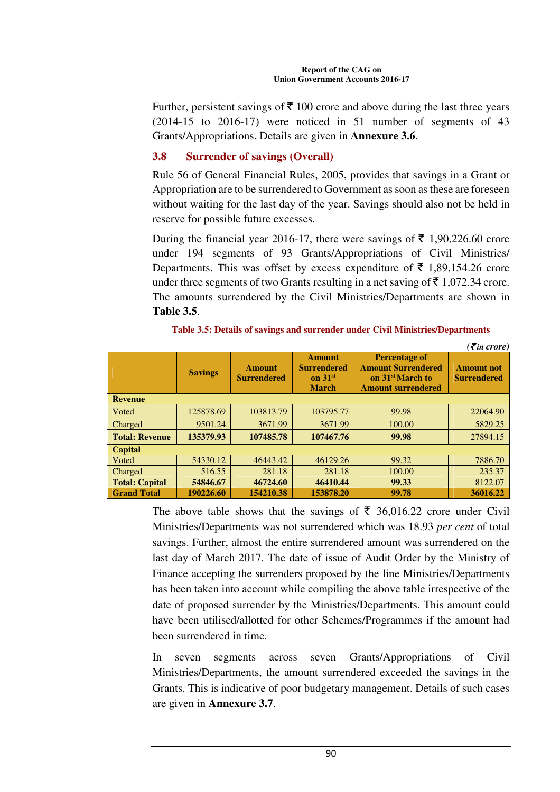Further, persistent savings of  $\bar{\tau}$  100 crore and above during the last three years (2014-15 to 2016-17) were noticed in 51 number of segments of 43 Grants/Appropriations. Details are given in **Annexure 3.6**.

# **3.8 Surrender of savings (Overall)**

Rule 56 of General Financial Rules, 2005, provides that savings in a Grant or Appropriation are to be surrendered to Government as soon as these are foreseen without waiting for the last day of the year. Savings should also not be held in reserve for possible future excesses.

During the financial year 2016-17, there were savings of  $\bar{\tau}$  1,90,226.60 crore under 194 segments of 93 Grants/Appropriations of Civil Ministries/ Departments. This was offset by excess expenditure of  $\bar{\tau}$  1,89,154.26 crore under three segments of two Grants resulting in a net saving of  $\bar{\tau}$  1,072.34 crore. The amounts surrendered by the Civil Ministries/Departments are shown in **Table 3.5**.

|                       |                |                                     |                                                                  |                                                                                                                | $( \bar{\mathbf{z}}$ in crore)          |  |  |
|-----------------------|----------------|-------------------------------------|------------------------------------------------------------------|----------------------------------------------------------------------------------------------------------------|-----------------------------------------|--|--|
|                       | <b>Savings</b> | <b>Amount</b><br><b>Surrendered</b> | <b>Amount</b><br><b>Surrendered</b><br>on $31st$<br><b>March</b> | <b>Percentage of</b><br><b>Amount Surrendered</b><br>on 31 <sup>st</sup> March to<br><b>Amount surrendered</b> | <b>Amount not</b><br><b>Surrendered</b> |  |  |
| <b>Revenue</b>        |                |                                     |                                                                  |                                                                                                                |                                         |  |  |
| Voted                 | 125878.69      | 103813.79                           | 103795.77                                                        | 99.98                                                                                                          | 22064.90                                |  |  |
| Charged               | 9501.24        | 3671.99                             | 3671.99                                                          | 100.00                                                                                                         | 5829.25                                 |  |  |
| <b>Total: Revenue</b> | 135379.93      | 107485.78                           | 107467.76                                                        | 99.98                                                                                                          | 27894.15                                |  |  |
| Capital               |                |                                     |                                                                  |                                                                                                                |                                         |  |  |
| Voted                 | 54330.12       | 46443.42                            | 46129.26                                                         | 99.32                                                                                                          | 7886.70                                 |  |  |
| Charged               | 516.55         | 281.18                              | 281.18                                                           | 100.00                                                                                                         | 235.37                                  |  |  |
| <b>Total: Capital</b> | 54846.67       | 46724.60                            | 46410.44                                                         | 99.33                                                                                                          | 8122.07                                 |  |  |
| <b>Grand Total</b>    | 190226.60      | 154210.38                           | 153878.20                                                        | 99.78                                                                                                          | 36016.22                                |  |  |

The above table shows that the savings of  $\bar{\tau}$  36,016.22 crore under Civil Ministries/Departments was not surrendered which was 18.93 *per cent* of total savings. Further, almost the entire surrendered amount was surrendered on the last day of March 2017. The date of issue of Audit Order by the Ministry of Finance accepting the surrenders proposed by the line Ministries/Departments has been taken into account while compiling the above table irrespective of the date of proposed surrender by the Ministries/Departments. This amount could have been utilised/allotted for other Schemes/Programmes if the amount had been surrendered in time.

In seven segments across seven Grants/Appropriations of Civil Ministries/Departments, the amount surrendered exceeded the savings in the Grants. This is indicative of poor budgetary management. Details of such cases are given in **Annexure 3.7**.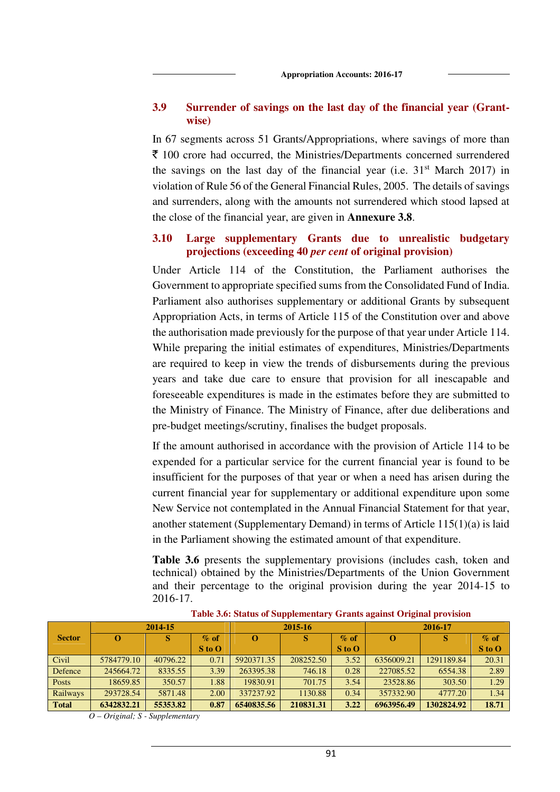### **3.9 Surrender of savings on the last day of the financial year (Grantwise)**

In 67 segments across 51 Grants/Appropriations, where savings of more than  $\bar{\xi}$  100 crore had occurred, the Ministries/Departments concerned surrendered the savings on the last day of the financial year (i.e.  $31<sup>st</sup>$  March 2017) in violation of Rule 56 of the General Financial Rules, 2005. The details of savings and surrenders, along with the amounts not surrendered which stood lapsed at the close of the financial year, are given in **Annexure 3.8**.

### **3.10 Large supplementary Grants due to unrealistic budgetary projections (exceeding 40** *per cent* **of original provision)**

Under Article 114 of the Constitution, the Parliament authorises the Government to appropriate specified sums from the Consolidated Fund of India. Parliament also authorises supplementary or additional Grants by subsequent Appropriation Acts, in terms of Article 115 of the Constitution over and above the authorisation made previously for the purpose of that year under Article 114. While preparing the initial estimates of expenditures, Ministries/Departments are required to keep in view the trends of disbursements during the previous years and take due care to ensure that provision for all inescapable and foreseeable expenditures is made in the estimates before they are submitted to the Ministry of Finance. The Ministry of Finance, after due deliberations and pre-budget meetings/scrutiny, finalises the budget proposals.

If the amount authorised in accordance with the provision of Article 114 to be expended for a particular service for the current financial year is found to be insufficient for the purposes of that year or when a need has arisen during the current financial year for supplementary or additional expenditure upon some New Service not contemplated in the Annual Financial Statement for that year, another statement (Supplementary Demand) in terms of Article 115(1)(a) is laid in the Parliament showing the estimated amount of that expenditure.

**Table 3.6** presents the supplementary provisions (includes cash, token and technical) obtained by the Ministries/Departments of the Union Government and their percentage to the original provision during the year 2014-15 to 2016-17.

|               | 2014-15    |          |            | 2015-16    |           |            | 2016-17    |            |            |
|---------------|------------|----------|------------|------------|-----------|------------|------------|------------|------------|
| <b>Sector</b> |            |          | $\%$ of    |            |           | $\%$ of    | $\Omega$   | S          | $\%$ of    |
|               |            |          | $S$ to $O$ |            |           | $S$ to $O$ |            |            | $S$ to $O$ |
| Civil         | 5784779.10 | 40796.22 | 0.71       | 5920371.35 | 208252.50 | 3.52       | 6356009.21 | 1291189.84 | 20.31      |
| Defence       | 245664.72  | 8335.55  | 3.39       | 263395.38  | 746.18    | 0.28       | 227085.52  | 6554.38    | 2.89       |
| <b>Posts</b>  | 18659.85   | 350.57   | 1.88       | 19830.91   | 701.75    | 3.54       | 23528.86   | 303.50     | 1.29       |
| Railways      | 293728.54  | 5871.48  | 2.00       | 337237.92  | 1130.88   | 0.34       | 357332.90  | 4777.20    | 1.34       |
| <b>Total</b>  | 6342832.21 | 55353.82 | 0.87       | 6540835.56 | 210831.31 | 3.22       | 6963956.49 | 1302824.92 | 18.71      |

**Table 3.6: Status of Supplementary Grants against Original provision** 

*O – Original; S - Supplementary*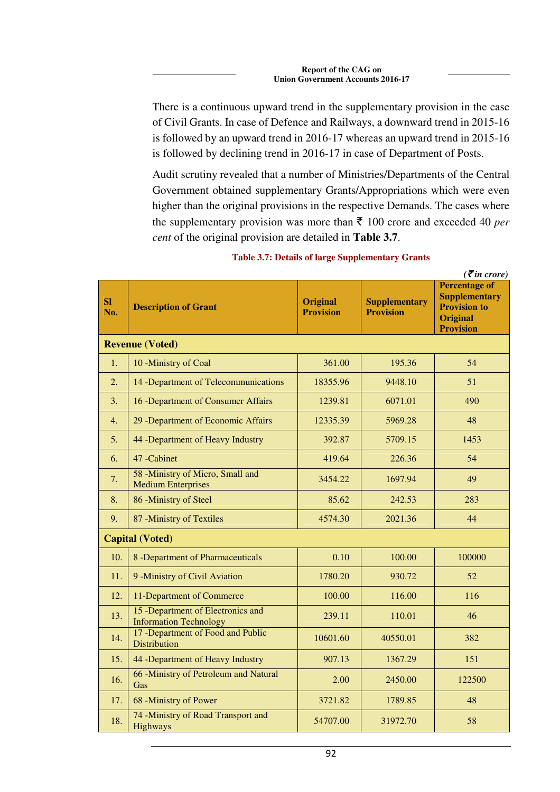There is a continuous upward trend in the supplementary provision in the case of Civil Grants. In case of Defence and Railways, a downward trend in 2015-16 is followed by an upward trend in 2016-17 whereas an upward trend in 2015-16 is followed by declining trend in 2016-17 in case of Department of Posts.

Audit scrutiny revealed that a number of Ministries/Departments of the Central Government obtained supplementary Grants/Appropriations which were even higher than the original provisions in the respective Demands. The cases where the supplementary provision was more than  $\bar{\tau}$  100 crore and exceeded 40 *per cent* of the original provision are detailed in **Table 3.7**.

| <b>SI</b><br>No.       | <b>Description of Grant</b>                                        | <b>Original</b><br><b>Provision</b> | <b>Supplementary</b><br><b>Provision</b> | $($ , $\cdots$ $\cdots$ $\cdots$<br><b>Percentage of</b><br><b>Supplementary</b><br><b>Provision to</b><br><b>Original</b><br><b>Provision</b> |  |  |  |
|------------------------|--------------------------------------------------------------------|-------------------------------------|------------------------------------------|------------------------------------------------------------------------------------------------------------------------------------------------|--|--|--|
| <b>Revenue (Voted)</b> |                                                                    |                                     |                                          |                                                                                                                                                |  |  |  |
| 1.                     | 10 - Ministry of Coal                                              | 361.00                              | 195.36                                   | 54                                                                                                                                             |  |  |  |
| 2.                     | 14 - Department of Telecommunications                              | 18355.96                            | 9448.10                                  | 51                                                                                                                                             |  |  |  |
| 3.                     | 16 - Department of Consumer Affairs                                | 1239.81                             | 6071.01                                  | 490                                                                                                                                            |  |  |  |
| 4.                     | 29 - Department of Economic Affairs                                | 12335.39                            | 5969.28                                  | 48                                                                                                                                             |  |  |  |
| 5.                     | 44 -Department of Heavy Industry                                   | 392.87                              | 5709.15                                  | 1453                                                                                                                                           |  |  |  |
| 6.                     | 47 - Cabinet                                                       | 419.64                              | 226.36                                   | 54                                                                                                                                             |  |  |  |
| 7.                     | 58 -Ministry of Micro, Small and<br><b>Medium Enterprises</b>      | 3454.22                             | 1697.94                                  | 49                                                                                                                                             |  |  |  |
| 8.                     | 86 -Ministry of Steel                                              | 85.62                               | 242.53                                   | 283                                                                                                                                            |  |  |  |
| 9.                     | 87 - Ministry of Textiles                                          | 4574.30                             | 2021.36                                  | 44                                                                                                                                             |  |  |  |
|                        | <b>Capital (Voted)</b>                                             |                                     |                                          |                                                                                                                                                |  |  |  |
| 10.                    | 8 -Department of Pharmaceuticals                                   | 0.10                                | 100.00                                   | 100000                                                                                                                                         |  |  |  |
| 11.                    | 9 - Ministry of Civil Aviation                                     | 1780.20                             | 930.72                                   | 52                                                                                                                                             |  |  |  |
| 12.                    | 11-Department of Commerce                                          | 100.00                              | 116.00                                   | 116                                                                                                                                            |  |  |  |
| 13.                    | 15 -Department of Electronics and<br><b>Information Technology</b> | 239.11                              | 110.01                                   | 46                                                                                                                                             |  |  |  |
| 14.                    | 17 - Department of Food and Public<br><b>Distribution</b>          | 10601.60                            | 40550.01                                 | 382                                                                                                                                            |  |  |  |
| 15.                    | 44 -Department of Heavy Industry                                   | 907.13                              | 1367.29                                  | 151                                                                                                                                            |  |  |  |
| 16.                    | 66 - Ministry of Petroleum and Natural<br>Gas                      | 2.00                                | 2450.00                                  | 122500                                                                                                                                         |  |  |  |
| 17.                    | 68 -Ministry of Power                                              | 3721.82                             | 1789.85                                  | 48                                                                                                                                             |  |  |  |
| 18.                    | 74 -Ministry of Road Transport and<br>Highways                     | 54707.00                            | 31972.70                                 | 58                                                                                                                                             |  |  |  |

### **Table 3.7: Details of large Supplementary Grants**

 $( \mathcal{F}$ *in crore*)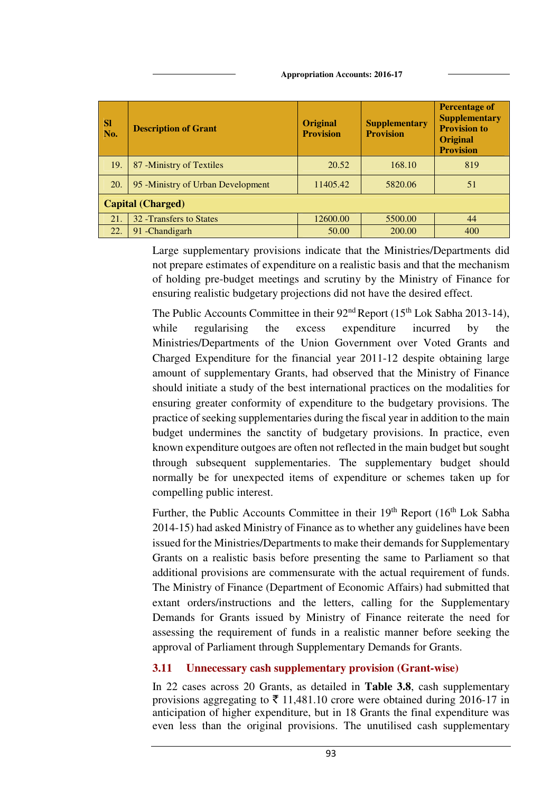| <b>Appropriation Accounts: 2016-17</b> |  |
|----------------------------------------|--|
|                                        |  |

| <b>SI</b><br>No. | <b>Description of Grant</b>        | <b>Original</b><br><b>Provision</b> | <b>Supplementary</b><br><b>Provision</b> | <b>Percentage of</b><br><b>Supplementary</b><br><b>Provision to</b><br><b>Original</b><br><b>Provision</b> |  |  |  |  |  |  |
|------------------|------------------------------------|-------------------------------------|------------------------------------------|------------------------------------------------------------------------------------------------------------|--|--|--|--|--|--|
| 19.              | 87 - Ministry of Textiles          | 20.52                               | 168.10                                   | 819                                                                                                        |  |  |  |  |  |  |
| 20.              | 95 - Ministry of Urban Development | 11405.42                            | 5820.06                                  | 51                                                                                                         |  |  |  |  |  |  |
|                  | <b>Capital (Charged)</b>           |                                     |                                          |                                                                                                            |  |  |  |  |  |  |
| 21.              | 32 - Transfers to States           | 12600.00                            | 5500.00                                  | 44                                                                                                         |  |  |  |  |  |  |
| 22.              | 91 - Chandigarh                    | 50.00                               | 200.00                                   | 400                                                                                                        |  |  |  |  |  |  |

Large supplementary provisions indicate that the Ministries/Departments did not prepare estimates of expenditure on a realistic basis and that the mechanism of holding pre-budget meetings and scrutiny by the Ministry of Finance for ensuring realistic budgetary projections did not have the desired effect.

The Public Accounts Committee in their  $92<sup>nd</sup>$  Report (15<sup>th</sup> Lok Sabha 2013-14), while regularising the excess expenditure incurred by the Ministries/Departments of the Union Government over Voted Grants and Charged Expenditure for the financial year 2011-12 despite obtaining large amount of supplementary Grants, had observed that the Ministry of Finance should initiate a study of the best international practices on the modalities for ensuring greater conformity of expenditure to the budgetary provisions. The practice of seeking supplementaries during the fiscal year in addition to the main budget undermines the sanctity of budgetary provisions. In practice, even known expenditure outgoes are often not reflected in the main budget but sought through subsequent supplementaries. The supplementary budget should normally be for unexpected items of expenditure or schemes taken up for compelling public interest.

Further, the Public Accounts Committee in their  $19<sup>th</sup>$  Report ( $16<sup>th</sup>$  Lok Sabha 2014-15) had asked Ministry of Finance as to whether any guidelines have been issued for the Ministries/Departments to make their demands for Supplementary Grants on a realistic basis before presenting the same to Parliament so that additional provisions are commensurate with the actual requirement of funds. The Ministry of Finance (Department of Economic Affairs) had submitted that extant orders/instructions and the letters, calling for the Supplementary Demands for Grants issued by Ministry of Finance reiterate the need for assessing the requirement of funds in a realistic manner before seeking the approval of Parliament through Supplementary Demands for Grants.

# **3.11 Unnecessary cash supplementary provision (Grant-wise)**

In 22 cases across 20 Grants, as detailed in **Table 3.8**, cash supplementary provisions aggregating to  $\bar{\tau}$  11,481.10 crore were obtained during 2016-17 in anticipation of higher expenditure, but in 18 Grants the final expenditure was even less than the original provisions. The unutilised cash supplementary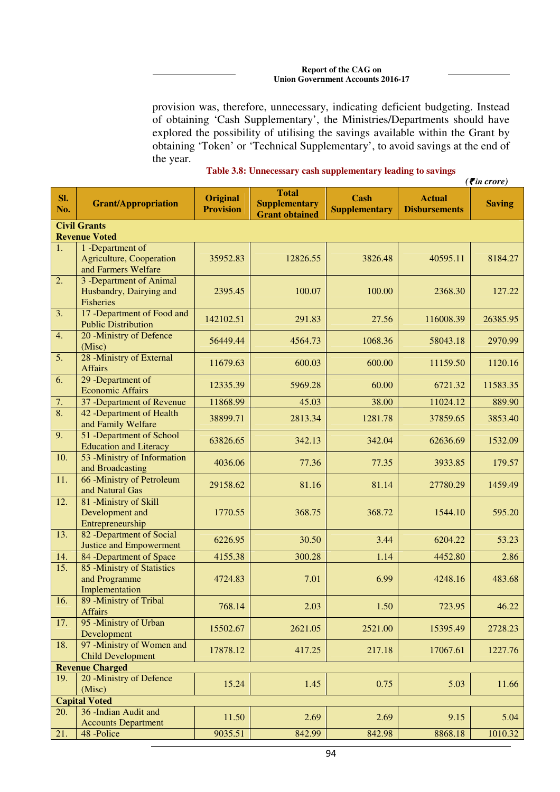#### **Report of the CAG on Union Government Accounts 2016-17**

provision was, therefore, unnecessary, indicating deficient budgeting. Instead of obtaining 'Cash Supplementary', the Ministries/Departments should have explored the possibility of utilising the savings available within the Grant by obtaining 'Token' or 'Technical Supplementary', to avoid savings at the end of the year.

| Table 3.8: Unnecessary cash supplementary leading to savings |  |  |  |  |
|--------------------------------------------------------------|--|--|--|--|
|--------------------------------------------------------------|--|--|--|--|

|                  |                                                                            |                                     |                                                               |                                     |                                       | $( \bar{\mathbf{z}}$ in crore) |  |  |  |  |  |  |
|------------------|----------------------------------------------------------------------------|-------------------------------------|---------------------------------------------------------------|-------------------------------------|---------------------------------------|--------------------------------|--|--|--|--|--|--|
| Sl.<br>No.       | <b>Grant/Appropriation</b>                                                 | <b>Original</b><br><b>Provision</b> | <b>Total</b><br><b>Supplementary</b><br><b>Grant obtained</b> | <b>Cash</b><br><b>Supplementary</b> | <b>Actual</b><br><b>Disbursements</b> | <b>Saving</b>                  |  |  |  |  |  |  |
|                  | <b>Civil Grants</b><br><b>Revenue Voted</b>                                |                                     |                                                               |                                     |                                       |                                |  |  |  |  |  |  |
|                  |                                                                            |                                     |                                                               |                                     |                                       |                                |  |  |  |  |  |  |
| 1.               | 1 -Department of<br><b>Agriculture, Cooperation</b><br>and Farmers Welfare | 35952.83                            | 12826.55                                                      | 3826.48                             | 40595.11                              | 8184.27                        |  |  |  |  |  |  |
| 2.               | 3 -Department of Animal<br>Husbandry, Dairying and<br><b>Fisheries</b>     | 2395.45                             | 100.07                                                        | 100.00                              | 2368.30                               | 127.22                         |  |  |  |  |  |  |
| 3.               | 17 -Department of Food and<br><b>Public Distribution</b>                   | 142102.51                           | 291.83                                                        | 27.56                               | 116008.39                             | 26385.95                       |  |  |  |  |  |  |
| 4.               | 20 -Ministry of Defence<br>(Misc)                                          | 56449.44                            | 4564.73                                                       | 1068.36                             | 58043.18                              | 2970.99                        |  |  |  |  |  |  |
| 5.               | 28 -Ministry of External<br><b>Affairs</b>                                 | 11679.63                            | 600.03                                                        | 600.00                              | 11159.50                              | 1120.16                        |  |  |  |  |  |  |
| 6.               | 29 -Department of<br><b>Economic Affairs</b>                               | 12335.39                            | 5969.28                                                       | 60.00                               | 6721.32                               | 11583.35                       |  |  |  |  |  |  |
| 7.               | 37 - Department of Revenue                                                 | 11868.99                            | 45.03                                                         | 38.00                               | 11024.12                              | 889.90                         |  |  |  |  |  |  |
| $\overline{8}$ . | 42 -Department of Health<br>and Family Welfare                             | 38899.71                            | 2813.34                                                       | 1281.78                             | 37859.65                              | 3853.40                        |  |  |  |  |  |  |
| 9.               | 51 -Department of School<br><b>Education and Literacy</b>                  | 63826.65                            | 342.13                                                        | 342.04                              | 62636.69                              | 1532.09                        |  |  |  |  |  |  |
| 10.              | 53 - Ministry of Information<br>and Broadcasting                           | 4036.06                             | 77.36                                                         | 77.35                               | 3933.85                               | 179.57                         |  |  |  |  |  |  |
| 11.              | 66 -Ministry of Petroleum<br>and Natural Gas                               | 29158.62                            | 81.16                                                         | 81.14                               | 27780.29                              | 1459.49                        |  |  |  |  |  |  |
| 12.              | 81 - Ministry of Skill<br>Development and<br>Entrepreneurship              | 1770.55                             | 368.75                                                        | 368.72                              | 1544.10                               | 595.20                         |  |  |  |  |  |  |
| 13.              | 82 -Department of Social<br><b>Justice and Empowerment</b>                 | 6226.95                             | 30.50                                                         | 3.44                                | 6204.22                               | 53.23                          |  |  |  |  |  |  |
| 14.              | 84 -Department of Space                                                    | 4155.38                             | 300.28                                                        | 1.14                                | 4452.80                               | 2.86                           |  |  |  |  |  |  |
| 15.              | 85 -Ministry of Statistics<br>and Programme<br>Implementation              | 4724.83                             | 7.01                                                          | 6.99                                | 4248.16                               | 483.68                         |  |  |  |  |  |  |
| 16.              | 89 - Ministry of Tribal<br><b>Affairs</b>                                  | 768.14                              | 2.03                                                          | 1.50                                | 723.95                                | 46.22                          |  |  |  |  |  |  |
| 17.              | 95 -Ministry of Urban<br>Development                                       | 15502.67                            | 2621.05                                                       | 2521.00                             | 15395.49                              | 2728.23                        |  |  |  |  |  |  |
| 18.              | 97 -Ministry of Women and<br><b>Child Development</b>                      | 17878.12                            | 417.25                                                        | 217.18                              | 17067.61                              | 1227.76                        |  |  |  |  |  |  |
|                  | <b>Revenue Charged</b>                                                     |                                     |                                                               |                                     |                                       |                                |  |  |  |  |  |  |
| 19.              | 20 - Ministry of Defence<br>(Misc)                                         | 15.24                               | 1.45                                                          | 0.75                                | 5.03                                  | 11.66                          |  |  |  |  |  |  |
|                  | <b>Capital Voted</b>                                                       |                                     |                                                               |                                     |                                       |                                |  |  |  |  |  |  |
| 20.              | 36 - Indian Audit and<br><b>Accounts Department</b>                        | 11.50                               | 2.69                                                          | 2.69                                | 9.15                                  | 5.04                           |  |  |  |  |  |  |
| 21.              | 48 -Police                                                                 | 9035.51                             | 842.99                                                        | 842.98                              | 8868.18                               | 1010.32                        |  |  |  |  |  |  |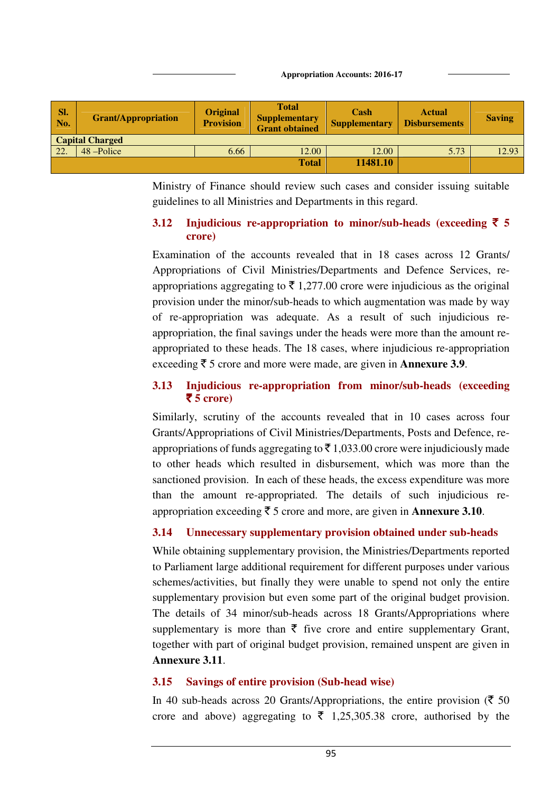**Appropriation Accounts: 2016-17**

| Sl.<br>No. | <b>Grant/Appropriation</b> | <b>Original</b><br><b>Provision</b> | <b>Total</b><br><b>Supplementary</b><br><b>Grant obtained</b> | Cash<br><b>Supplementary</b> | <b>Actual</b><br><b>Disbursements</b> | <b>Saving</b> |
|------------|----------------------------|-------------------------------------|---------------------------------------------------------------|------------------------------|---------------------------------------|---------------|
|            | <b>Capital Charged</b>     |                                     |                                                               |                              |                                       |               |
| 22.        | 48 –Police                 | 6.66                                | 12.00                                                         | 12.00                        | 5.73                                  | 12.93         |
|            |                            |                                     | <b>Total</b>                                                  | 11481.10                     |                                       |               |
|            |                            |                                     |                                                               |                              |                                       |               |

Ministry of Finance should review such cases and consider issuing suitable guidelines to all Ministries and Departments in this regard.

# **3.12** Injudicious re-appropriation to minor/sub-heads (exceeding  $\bar{\tau}$  5 **crore)**

Examination of the accounts revealed that in 18 cases across 12 Grants/ Appropriations of Civil Ministries/Departments and Defence Services, reappropriations aggregating to  $\bar{\tau}$  1,277.00 crore were injudicious as the original provision under the minor/sub-heads to which augmentation was made by way of re-appropriation was adequate. As a result of such injudicious reappropriation, the final savings under the heads were more than the amount reappropriated to these heads. The 18 cases, where injudicious re-appropriation exceeding  $\bar{\tau}$  5 crore and more were made, are given in **Annexure 3.9**.

### **3.13 Injudicious re-appropriation from minor/sub-heads (exceeding**   $\overline{\mathbf{5}}$  5 crore)

Similarly, scrutiny of the accounts revealed that in 10 cases across four Grants/Appropriations of Civil Ministries/Departments, Posts and Defence, reappropriations of funds aggregating to  $\bar{\tau}$  1,033.00 crore were injudiciously made to other heads which resulted in disbursement, which was more than the sanctioned provision. In each of these heads, the excess expenditure was more than the amount re-appropriated. The details of such injudicious reappropriation exceeding  $\bar{\tau}$  5 crore and more, are given in **Annexure 3.10**.

# **3.14 Unnecessary supplementary provision obtained under sub-heads**

While obtaining supplementary provision, the Ministries/Departments reported to Parliament large additional requirement for different purposes under various schemes/activities, but finally they were unable to spend not only the entire supplementary provision but even some part of the original budget provision. The details of 34 minor/sub-heads across 18 Grants/Appropriations where supplementary is more than  $\bar{\tau}$  five crore and entire supplementary Grant, together with part of original budget provision, remained unspent are given in **Annexure 3.11**.

# **3.15 Savings of entire provision (Sub-head wise)**

In 40 sub-heads across 20 Grants/Appropriations, the entire provision ( $\bar{\tau}$  50 crore and above) aggregating to  $\bar{\tau}$  1,25,305.38 crore, authorised by the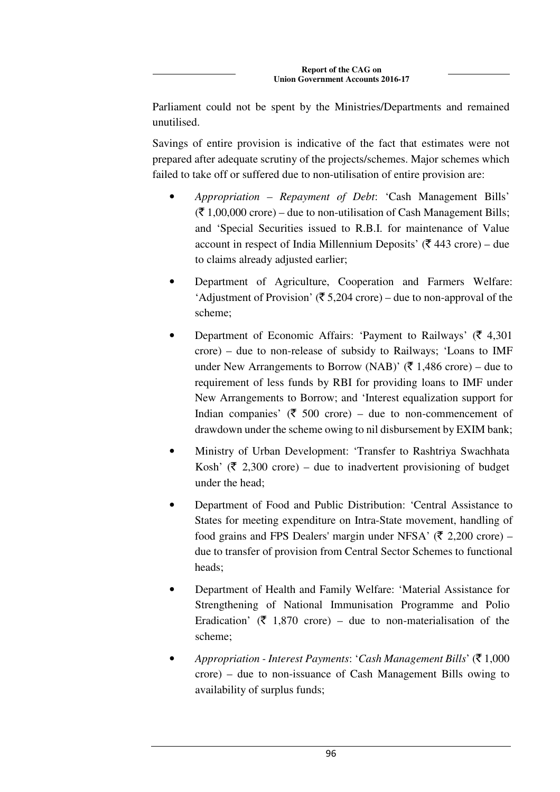Parliament could not be spent by the Ministries/Departments and remained unutilised.

Savings of entire provision is indicative of the fact that estimates were not prepared after adequate scrutiny of the projects/schemes. Major schemes which failed to take off or suffered due to non-utilisation of entire provision are:

- *Appropriation Repayment of Debt*: 'Cash Management Bills'  $(\bar{\mathcal{F}} 1,00,000$  crore) – due to non-utilisation of Cash Management Bills; and 'Special Securities issued to R.B.I. for maintenance of Value account in respect of India Millennium Deposits' ( $\bar{\tau}$  443 crore) – due to claims already adjusted earlier;
- Department of Agriculture, Cooperation and Farmers Welfare: 'Adjustment of Provision' ( $\bar{\mathfrak{F}}$  5,204 crore) – due to non-approval of the scheme;
- Department of Economic Affairs: 'Payment to Railways' ( $\bar{\tau}$  4,301) crore) – due to non-release of subsidy to Railways; 'Loans to IMF under New Arrangements to Borrow (NAB)' ( $\bar{\tau}$  1,486 crore) – due to requirement of less funds by RBI for providing loans to IMF under New Arrangements to Borrow; and 'Interest equalization support for Indian companies' ( $\bar{\tau}$  500 crore) – due to non-commencement of drawdown under the scheme owing to nil disbursement by EXIM bank;
- Ministry of Urban Development: 'Transfer to Rashtriya Swachhata Kosh' ( $\bar{\tau}$  2,300 crore) – due to inadvertent provisioning of budget under the head;
- Department of Food and Public Distribution: 'Central Assistance to States for meeting expenditure on Intra-State movement, handling of food grains and FPS Dealers' margin under NFSA' ( $\bar{\tau}$  2,200 crore) – due to transfer of provision from Central Sector Schemes to functional heads;
- Department of Health and Family Welfare: 'Material Assistance for Strengthening of National Immunisation Programme and Polio Eradication' ( $\bar{\tau}$  1,870 crore) – due to non-materialisation of the scheme;
- *Appropriation Interest Payments: 'Cash Management Bills'* ( $\bar{\tau}$  1,000 crore) – due to non-issuance of Cash Management Bills owing to availability of surplus funds;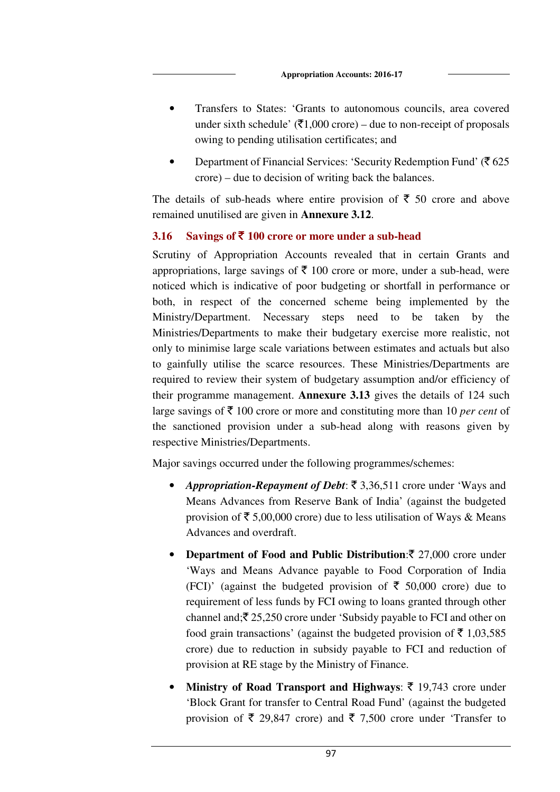- Transfers to States: 'Grants to autonomous councils, area covered under sixth schedule'  $(\overline{\xi}1,000 \text{ core})$  – due to non-receipt of proposals owing to pending utilisation certificates; and
- Department of Financial Services: 'Security Redemption Fund' ( $\bar{\tau}$  625) crore) – due to decision of writing back the balances.

The details of sub-heads where entire provision of  $\bar{\tau}$  50 crore and above remained unutilised are given in **Annexure 3.12**.

### **3.16 Savings of** ` **100 crore or more under a sub-head**

Scrutiny of Appropriation Accounts revealed that in certain Grants and appropriations, large savings of  $\bar{\tau}$  100 crore or more, under a sub-head, were noticed which is indicative of poor budgeting or shortfall in performance or both, in respect of the concerned scheme being implemented by the Ministry/Department. Necessary steps need to be taken by the Ministries/Departments to make their budgetary exercise more realistic, not only to minimise large scale variations between estimates and actuals but also to gainfully utilise the scarce resources. These Ministries/Departments are required to review their system of budgetary assumption and/or efficiency of their programme management. **Annexure 3.13** gives the details of 124 such large savings of  $\bar{\tau}$  100 crore or more and constituting more than 10 *per cent* of the sanctioned provision under a sub-head along with reasons given by respective Ministries/Departments.

Major savings occurred under the following programmes/schemes:

- *Appropriation-Repayment of Debt*: ₹ 3,36,511 crore under 'Ways and Means Advances from Reserve Bank of India' (against the budgeted provision of  $\bar{\tau}$  5,00,000 crore) due to less utilisation of Ways & Means Advances and overdraft.
- **Department of Food and Public Distribution:**  $\bar{\tau}$  27,000 crore under 'Ways and Means Advance payable to Food Corporation of India (FCI)' (against the budgeted provision of  $\bar{\tau}$  50,000 crore) due to requirement of less funds by FCI owing to loans granted through other channel and; $\bar{\mathfrak{Z}}$  25,250 crore under 'Subsidy payable to FCI and other on food grain transactions' (against the budgeted provision of  $\bar{\tau}$  1,03,585) crore) due to reduction in subsidy payable to FCI and reduction of provision at RE stage by the Ministry of Finance.
- **Ministry of Road Transport and Highways:**  $\bar{\tau}$  **19,743 crore under** 'Block Grant for transfer to Central Road Fund' (against the budgeted provision of  $\bar{\xi}$  29,847 crore) and  $\bar{\xi}$  7,500 crore under 'Transfer to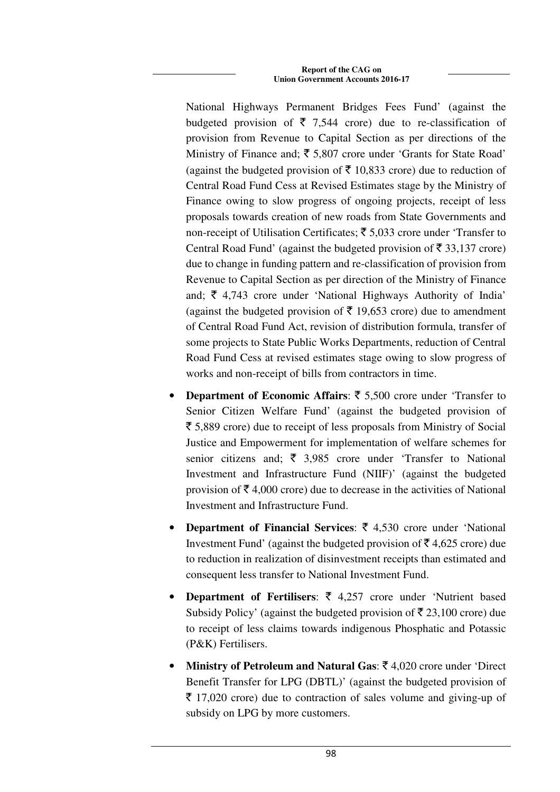National Highways Permanent Bridges Fees Fund' (against the budgeted provision of  $\bar{\tau}$  7,544 crore) due to re-classification of provision from Revenue to Capital Section as per directions of the Ministry of Finance and;  $\bar{\xi}$  5,807 crore under 'Grants for State Road' (against the budgeted provision of  $\bar{\tau}$  10,833 crore) due to reduction of Central Road Fund Cess at Revised Estimates stage by the Ministry of Finance owing to slow progress of ongoing projects, receipt of less proposals towards creation of new roads from State Governments and non-receipt of Utilisation Certificates;  $\bar{\tau}$  5,033 crore under 'Transfer to Central Road Fund' (against the budgeted provision of  $\bar{\tau}$  33,137 crore) due to change in funding pattern and re-classification of provision from Revenue to Capital Section as per direction of the Ministry of Finance and;  $\bar{\xi}$  4,743 crore under 'National Highways Authority of India' (against the budgeted provision of  $\bar{\tau}$  19,653 crore) due to amendment of Central Road Fund Act, revision of distribution formula, transfer of some projects to State Public Works Departments, reduction of Central Road Fund Cess at revised estimates stage owing to slow progress of works and non-receipt of bills from contractors in time.

- **Department of Economic Affairs:**  $\bar{\tau}$  5,500 crore under 'Transfer to Senior Citizen Welfare Fund' (against the budgeted provision of  $\bar{\tau}$  5,889 crore) due to receipt of less proposals from Ministry of Social Justice and Empowerment for implementation of welfare schemes for senior citizens and;  $\bar{\xi}$  3,985 crore under 'Transfer to National Investment and Infrastructure Fund (NIIF)' (against the budgeted provision of  $\bar{\mathcal{F}}$  4,000 crore) due to decrease in the activities of National Investment and Infrastructure Fund.
- **Department of Financial Services:**  $\bar{\tau}$  **4,530 crore under 'National'** Investment Fund' (against the budgeted provision of  $\bar{\tau}$  4,625 crore) due to reduction in realization of disinvestment receipts than estimated and consequent less transfer to National Investment Fund.
- **Department of Fertilisers: ₹ 4,257 crore under 'Nutrient based** Subsidy Policy' (against the budgeted provision of  $\bar{\tau}$  23,100 crore) due to receipt of less claims towards indigenous Phosphatic and Potassic (P&K) Fertilisers.
- **Ministry of Petroleum and Natural Gas**: ` 4,020 crore under 'Direct Benefit Transfer for LPG (DBTL)' (against the budgeted provision of  $\bar{\tau}$  17,020 crore) due to contraction of sales volume and giving-up of subsidy on LPG by more customers.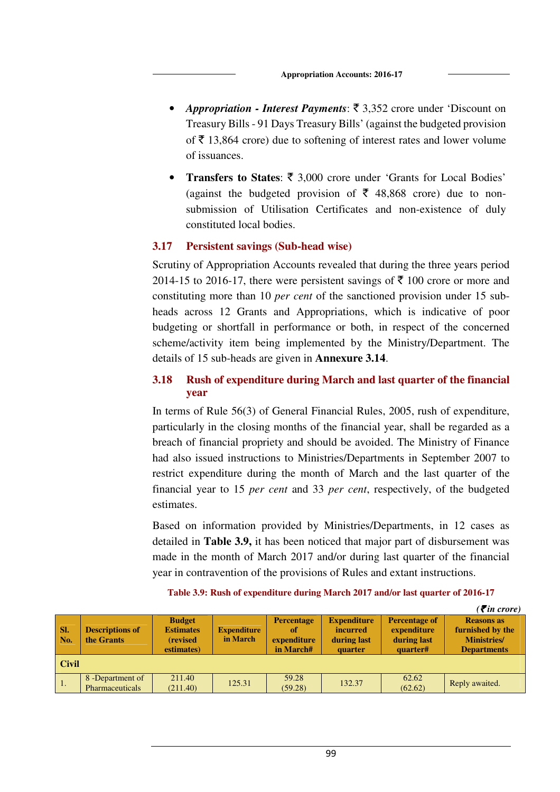- *Appropriation Interest Payments*:  $\bar{\tau}$  3,352 crore under 'Discount on Treasury Bills - 91 Days Treasury Bills' (against the budgeted provision of  $\bar{\tau}$  13,864 crore) due to softening of interest rates and lower volume of issuances.
- Transfers to States: ₹ 3,000 crore under 'Grants for Local Bodies' (against the budgeted provision of  $\bar{\tau}$  48,868 crore) due to nonsubmission of Utilisation Certificates and non-existence of duly constituted local bodies.

### **3.17 Persistent savings (Sub-head wise)**

Scrutiny of Appropriation Accounts revealed that during the three years period 2014-15 to 2016-17, there were persistent savings of  $\bar{\tau}$  100 crore or more and constituting more than 10 *per cent* of the sanctioned provision under 15 subheads across 12 Grants and Appropriations, which is indicative of poor budgeting or shortfall in performance or both, in respect of the concerned scheme/activity item being implemented by the Ministry/Department. The details of 15 sub-heads are given in **Annexure 3.14**.

# **3.18 Rush of expenditure during March and last quarter of the financial year**

In terms of Rule 56(3) of General Financial Rules, 2005, rush of expenditure, particularly in the closing months of the financial year, shall be regarded as a breach of financial propriety and should be avoided. The Ministry of Finance had also issued instructions to Ministries/Departments in September 2007 to restrict expenditure during the month of March and the last quarter of the financial year to 15 *per cent* and 33 *per cent*, respectively, of the budgeted estimates.

Based on information provided by Ministries/Departments, in 12 cases as detailed in **Table 3.9,** it has been noticed that major part of disbursement was made in the month of March 2017 and/or during last quarter of the financial year in contravention of the provisions of Rules and extant instructions.

|            |                                      |                                                              |                                |                                                     |                                                                 |                                                                | $( \bar{\mathbf{\xi}}$ in crore)                                                   |  |  |
|------------|--------------------------------------|--------------------------------------------------------------|--------------------------------|-----------------------------------------------------|-----------------------------------------------------------------|----------------------------------------------------------------|------------------------------------------------------------------------------------|--|--|
| SI.<br>No. | <b>Descriptions of</b><br>the Grants | <b>Budget</b><br><b>Estimates</b><br>(revised)<br>estimates) | <b>Expenditure</b><br>in March | <b>Percentage</b><br>of<br>expenditure<br>in March# | <b>Expenditure</b><br><i>incurred</i><br>during last<br>quarter | <b>Percentage of</b><br>expenditure<br>during last<br>quarter# | <b>Reasons as</b><br>furnished by the<br><b>Ministries</b> /<br><b>Departments</b> |  |  |
|            | <b>Civil</b>                         |                                                              |                                |                                                     |                                                                 |                                                                |                                                                                    |  |  |
| -1.        | 8 - Department of<br>Pharmaceuticals | 211.40<br>(211.40)                                           | 125.31                         | 59.28<br>(59.28)                                    | 132.37                                                          | 62.62<br>(62.62)                                               | Reply awaited.                                                                     |  |  |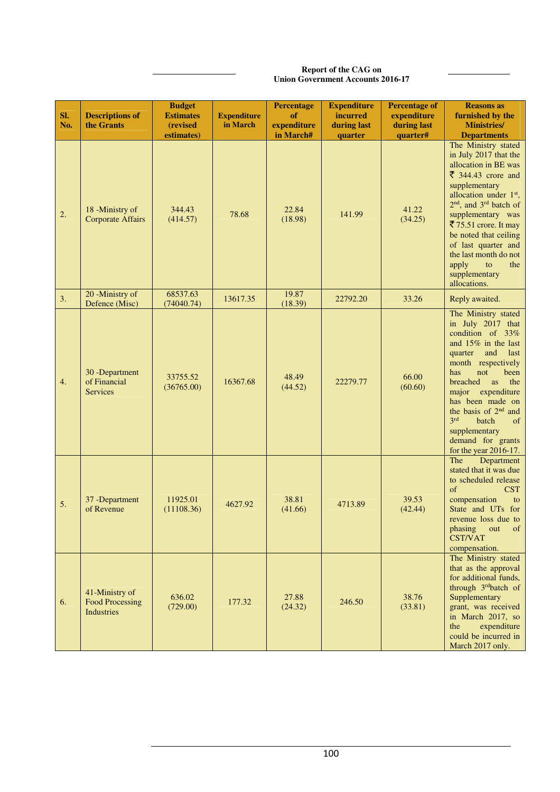#### **Report of the CAG on Union Government Accounts 2016-17**

| SI.<br>No. | <b>Descriptions of</b><br>the Grants                          | <b>Budget</b><br><b>Estimates</b><br>(revised<br>estimates) | <b>Expenditure</b><br>in March | <b>Percentage</b><br>of<br>expenditure<br>in March# | <b>Expenditure</b><br>incurred<br>during last<br>quarter | <b>Percentage of</b><br>expenditure<br>during last<br>quarter# | <b>Reasons as</b><br>furnished by the<br><b>Ministries/</b><br><b>Departments</b>                                                                                                                                                                                                                                                                                                   |
|------------|---------------------------------------------------------------|-------------------------------------------------------------|--------------------------------|-----------------------------------------------------|----------------------------------------------------------|----------------------------------------------------------------|-------------------------------------------------------------------------------------------------------------------------------------------------------------------------------------------------------------------------------------------------------------------------------------------------------------------------------------------------------------------------------------|
| 2.         | 18 -Ministry of<br><b>Corporate Affairs</b>                   | 344.43<br>(414.57)                                          | 78.68                          | 22.84<br>(18.98)                                    | 141.99                                                   | 41.22<br>(34.25)                                               | The Ministry stated<br>in July 2017 that the<br>allocation in BE was<br>$\overline{\xi}$ 344.43 crore and<br>supplementary<br>allocation under 1st,<br>2 <sup>nd</sup> , and 3 <sup>rd</sup> batch of<br>supplementary was<br>₹ 75.51 crore. It may<br>be noted that ceiling<br>of last quarter and<br>the last month do not<br>apply<br>the<br>to<br>supplementary<br>allocations. |
| 3.         | 20 -Ministry of<br>Defence (Misc)                             | 68537.63<br>(74040.74)                                      | 13617.35                       | 19.87<br>(18.39)                                    | 22792.20                                                 | 33.26                                                          | Reply awaited.                                                                                                                                                                                                                                                                                                                                                                      |
| 4.         | 30 - Department<br>of Financial<br><b>Services</b>            | 33755.52<br>(36765.00)                                      | 16367.68                       | 48.49<br>(44.52)                                    | 22279.77                                                 | 66.00<br>(60.60)                                               | The Ministry stated<br>in July 2017 that<br>condition of 33%<br>and $15\%$ in the last<br>and<br>quarter<br>last<br>month respectively<br>has<br>not<br>been<br>the<br>breached<br><b>as</b><br>major<br>expenditure<br>has been made on<br>the basis of 2 <sup>nd</sup> and<br>3rd<br>batch<br>of<br>supplementary<br>demand for grants<br>for the year 2016-17.                   |
| 5.         | 37 - Department<br>of Revenue                                 | 11925.01<br>(11108.36)                                      | 4627.92                        | 38.81<br>(41.66)                                    | 4713.89                                                  | 39.53<br>(42.44)                                               | Department<br>The<br>stated that it was due<br>to scheduled release<br>of<br><b>CST</b><br>compensation<br>to<br>State and UTs for<br>revenue loss due to<br>of<br>phasing<br>out<br><b>CST/VAT</b><br>compensation.                                                                                                                                                                |
| 6.         | 41-Ministry of<br><b>Food Processing</b><br><b>Industries</b> | 636.02<br>(729.00)                                          | 177.32                         | 27.88<br>(24.32)                                    | 246.50                                                   | 38.76<br>(33.81)                                               | The Ministry stated<br>that as the approval<br>for additional funds,<br>through 3rdbatch of<br>Supplementary<br>grant, was received<br>in March 2017, so<br>expenditure<br>the<br>could be incurred in<br>March 2017 only.                                                                                                                                                          |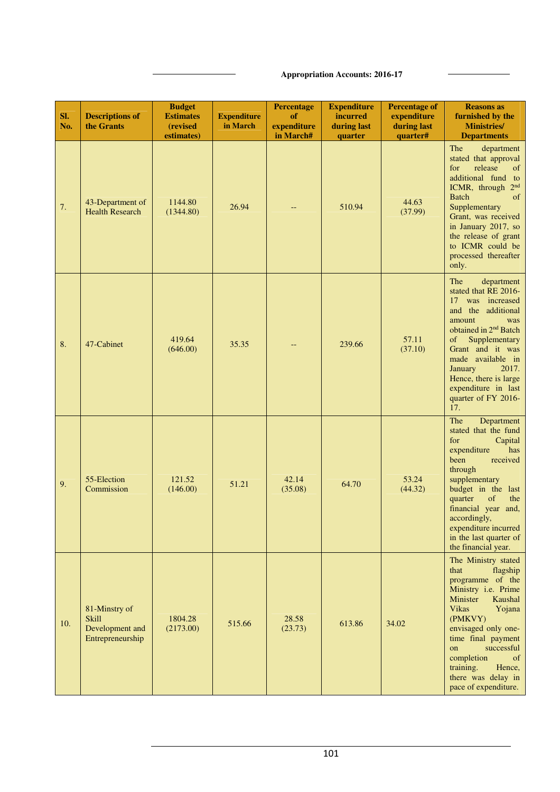### **Appropriation Accounts: 2016-17**

| SI.<br>No. | <b>Descriptions of</b><br>the Grants                                 | <b>Budget</b><br><b>Estimates</b><br>(revised<br>estimates) | <b>Expenditure</b><br>in March | <b>Percentage</b><br>of<br>expenditure<br>in March# | <b>Expenditure</b><br>incurred<br>during last<br>quarter | <b>Percentage of</b><br>expenditure<br>during last<br>quarter# | <b>Reasons as</b><br>furnished by the<br><b>Ministries/</b><br><b>Departments</b>                                                                                                                                                                                                                              |
|------------|----------------------------------------------------------------------|-------------------------------------------------------------|--------------------------------|-----------------------------------------------------|----------------------------------------------------------|----------------------------------------------------------------|----------------------------------------------------------------------------------------------------------------------------------------------------------------------------------------------------------------------------------------------------------------------------------------------------------------|
| 7.         | 43-Department of<br><b>Health Research</b>                           | 1144.80<br>(1344.80)                                        | 26.94                          |                                                     | 510.94                                                   | 44.63<br>(37.99)                                               | The<br>department<br>stated that approval<br>release<br>of<br>for<br>additional fund to<br>ICMR, through 2 <sup>nd</sup><br><b>Batch</b><br>of<br>Supplementary<br>Grant, was received<br>in January 2017, so<br>the release of grant<br>to ICMR could be<br>processed thereafter<br>only.                     |
| 8.         | 47-Cabinet                                                           | 419.64<br>(646.00)                                          | 35.35                          |                                                     | 239.66                                                   | 57.11<br>(37.10)                                               | The<br>department<br>stated that RE 2016-<br>was increased<br>17<br>and the additional<br>amount<br>was<br>obtained in 2 <sup>nd</sup> Batch<br>Supplementary<br>of<br>Grant and it was<br>made available in<br>January<br>2017.<br>Hence, there is large<br>expenditure in last<br>quarter of FY 2016-<br>17. |
| 9.         | 55-Election<br>Commission                                            | 121.52<br>(146.00)                                          | 51.21                          | 42.14<br>(35.08)                                    | 64.70                                                    | 53.24<br>(44.32)                                               | The<br>Department<br>stated that the fund<br>for<br>Capital<br>expenditure<br>has<br>been<br>received<br>through<br>supplementary<br>budget in the last<br>quarter<br>of<br>the<br>financial year and,<br>accordingly,<br>expenditure incurred<br>in the last quarter of<br>the financial year.                |
| 10.        | 81-Minstry of<br><b>Skill</b><br>Development and<br>Entrepreneurship | 1804.28<br>(2173.00)                                        | 515.66                         | 28.58<br>(23.73)                                    | 613.86                                                   | 34.02                                                          | The Ministry stated<br>that<br>flagship<br>programme of the<br>Ministry i.e. Prime<br>Minister<br>Kaushal<br><b>Vikas</b><br>Yojana<br>(PMKVY)<br>envisaged only one-<br>time final payment<br>successful<br>on<br>completion<br>of<br>training.<br>Hence,<br>there was delay in<br>pace of expenditure.       |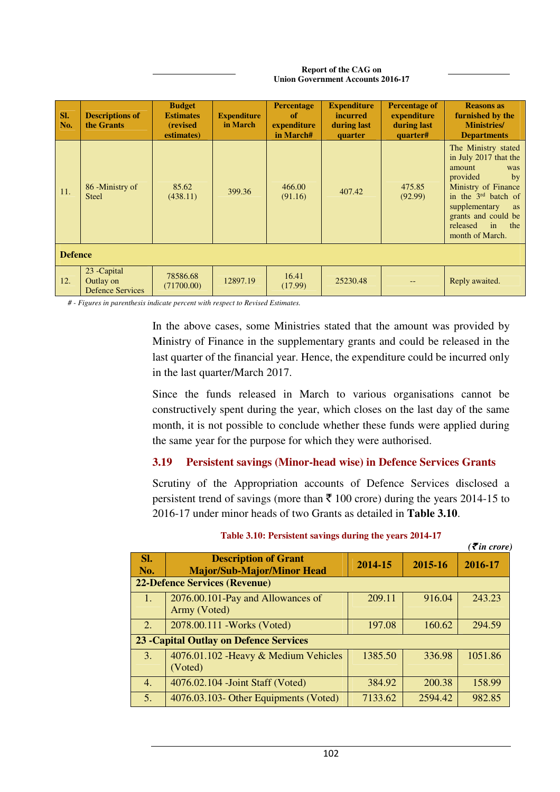| SI.<br>No. | <b>Descriptions of</b><br>the Grants                 | <b>Budget</b><br><b>Estimates</b><br>(revised)<br>estimates) | <b>Expenditure</b><br>in March | <b>Percentage</b><br><sub>of</sub><br>expenditure<br>in March# | <b>Expenditure</b><br>incurred<br>during last<br>quarter | <b>Percentage of</b><br>expenditure<br>during last<br>quarter# | <b>Reasons as</b><br>furnished by the<br><b>Ministries</b> /<br><b>Departments</b>                                                                                                                                                 |  |  |  |
|------------|------------------------------------------------------|--------------------------------------------------------------|--------------------------------|----------------------------------------------------------------|----------------------------------------------------------|----------------------------------------------------------------|------------------------------------------------------------------------------------------------------------------------------------------------------------------------------------------------------------------------------------|--|--|--|
| 11.        | 86 -Ministry of<br><b>Steel</b>                      | 85.62<br>(438.11)                                            | 399.36                         | 466.00<br>(91.16)                                              | 407.42                                                   | 475.85<br>(92.99)                                              | The Ministry stated<br>in July 2017 that the<br>amount<br>was<br>provided<br>by<br>Ministry of Finance<br>in the 3rd batch of<br>supplementary<br>as<br>grants and could be<br>released<br>$\mathbf{in}$<br>the<br>month of March. |  |  |  |
|            | <b>Defence</b>                                       |                                                              |                                |                                                                |                                                          |                                                                |                                                                                                                                                                                                                                    |  |  |  |
| 12.        | 23 - Capital<br>Outlay on<br><b>Defence Services</b> | 78586.68<br>(71700.00)                                       | 12897.19                       | 16.41<br>(17.99)                                               | 25230.48                                                 |                                                                | Reply awaited.                                                                                                                                                                                                                     |  |  |  |

#### **Report of the CAG on Union Government Accounts 2016-17**

*# - Figures in parenthesis indicate percent with respect to Revised Estimates.* 

In the above cases, some Ministries stated that the amount was provided by Ministry of Finance in the supplementary grants and could be released in the last quarter of the financial year. Hence, the expenditure could be incurred only in the last quarter/March 2017.

Since the funds released in March to various organisations cannot be constructively spent during the year, which closes on the last day of the same month, it is not possible to conclude whether these funds were applied during the same year for the purpose for which they were authorised.

### **3.19 Persistent savings (Minor-head wise) in Defence Services Grants**

Scrutiny of the Appropriation accounts of Defence Services disclosed a persistent trend of savings (more than  $\bar{\tau}$  100 crore) during the years 2014-15 to 2016-17 under minor heads of two Grants as detailed in **Table 3.10**.

|                                      |                                                                  |         |         | $( \bar{\mathbf{\xi}}$ in crore) |  |  |  |  |
|--------------------------------------|------------------------------------------------------------------|---------|---------|----------------------------------|--|--|--|--|
| SI.<br>No.                           | <b>Description of Grant</b><br><b>Major/Sub-Major/Minor Head</b> | 2014-15 | 2015-16 | 2016-17                          |  |  |  |  |
| <b>22-Defence Services (Revenue)</b> |                                                                  |         |         |                                  |  |  |  |  |
| 47                                   | 2076.00.101-Pay and Allowances of<br>Army (Voted)                | 209.11  | 916.04  | 243.23                           |  |  |  |  |
| 2.                                   | 2078.00.111 - Works (Voted)                                      | 197.08  | 160.62  | 294.59                           |  |  |  |  |
|                                      | <b>23 - Capital Outlay on Defence Services</b>                   |         |         |                                  |  |  |  |  |
| 3.                                   | 4076.01.102 - Heavy & Medium Vehicles<br>(Voted)                 | 1385.50 | 336.98  | 1051.86                          |  |  |  |  |
| 4.                                   | 4076.02.104 - Joint Staff (Voted)                                | 384.92  | 200.38  | 158.99                           |  |  |  |  |
| 5.                                   | 4076.03.103- Other Equipments (Voted)                            | 7133.62 | 2594.42 | 982.85                           |  |  |  |  |

### **Table 3.10: Persistent savings during the years 2014-17**